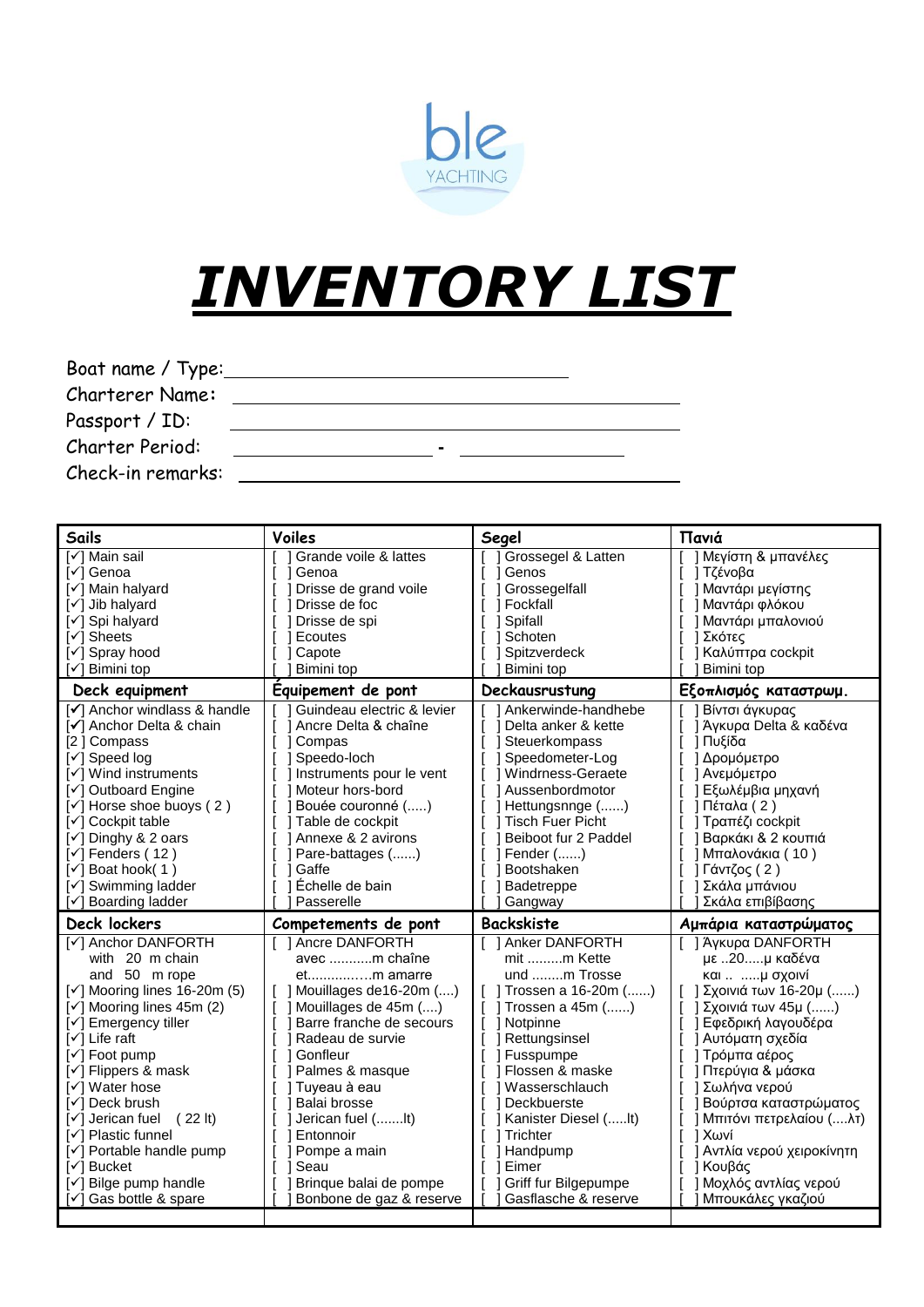

## *INVENTORY LIST*

| Boat name / Type:      |        |  |
|------------------------|--------|--|
| <b>Charterer Name:</b> |        |  |
| Passport / ID:         |        |  |
| <b>Charter Period:</b> | $\sim$ |  |
| Check-in remarks:      |        |  |

| <b>Sails</b>                                                                                                                                                                                                                                                                                                                                                                                                                                                                                                                                                      | Voiles                                                                                                                                                                                                                                                                                                                                                          | Segel                                                                                                                                                                                                                                                                                                                       | Πανιά                                                                                                                                                                                                                                                                                                                                                                          |
|-------------------------------------------------------------------------------------------------------------------------------------------------------------------------------------------------------------------------------------------------------------------------------------------------------------------------------------------------------------------------------------------------------------------------------------------------------------------------------------------------------------------------------------------------------------------|-----------------------------------------------------------------------------------------------------------------------------------------------------------------------------------------------------------------------------------------------------------------------------------------------------------------------------------------------------------------|-----------------------------------------------------------------------------------------------------------------------------------------------------------------------------------------------------------------------------------------------------------------------------------------------------------------------------|--------------------------------------------------------------------------------------------------------------------------------------------------------------------------------------------------------------------------------------------------------------------------------------------------------------------------------------------------------------------------------|
| [√] Main sail<br>[√] Genoa<br>[√] Main halyard<br>[√] Jib halyard<br>[√] Spi halyard<br>$\lceil \sqrt{\ } \rceil$ Sheets<br>[v] Spray hood<br>[√] Bimini top                                                                                                                                                                                                                                                                                                                                                                                                      | ] Grande voile & lattes<br>1 Genoa<br>1 Drisse de grand voile<br>1 Drisse de foc<br>] Drisse de spi<br>1 Ecoutes<br>] Capote<br>Bimini top                                                                                                                                                                                                                      | ] Grossegel & Latten<br>1 Genos<br>] Grossegelfall<br>1 Fockfall<br>] Spifall<br>] Schoten<br>] Spitzverdeck<br>Bimini top                                                                                                                                                                                                  | [] Μεγίστη & μπανέλες<br>] Τζένοβα<br>] Μαντάρι μεγίστης<br>] Μαντάρι φλόκου<br>] Μαντάρι μπαλονιού<br>1 Σκότες<br>] Καλύπτρα cockpit<br>Bimini top                                                                                                                                                                                                                            |
| Deck equipment                                                                                                                                                                                                                                                                                                                                                                                                                                                                                                                                                    | Equipement de pont                                                                                                                                                                                                                                                                                                                                              | Deckausrustung                                                                                                                                                                                                                                                                                                              | Εξοπλισμός καταστρωμ.                                                                                                                                                                                                                                                                                                                                                          |
| [√] Anchor windlass & handle<br>[√] Anchor Delta & chain<br>[2] Compass<br>[√] Speed log<br>[√] Wind instruments<br>[√] Outboard Engine<br>$\lceil \checkmark \rceil$ Horse shoe buoys (2)<br>[√] Cockpit table<br>$\lceil \checkmark \rceil$ Dinghy & 2 oars<br>$[\checkmark]$ Fenders (12)<br>$\lceil \sqrt{\ } \rceil$ Boat hook(1)<br>[√] Swimming ladder<br>[√] Boarding ladder                                                                                                                                                                              | ] Guindeau electric & levier<br>] Ancre Delta & chaîne<br>1 Compas<br>] Speedo-loch<br>] Instruments pour le vent<br>1 Moteur hors-bord<br>] Bouée couronné ()<br>] Table de cockpit<br>] Annexe & 2 avirons<br>] Pare-battages ()<br>1 Gaffe<br>] Échelle de bain<br>Passerelle                                                                                | ] Ankerwinde-handhebe<br>] Delta anker & kette<br>] Steuerkompass<br>] Speedometer-Log<br>1 Windrness-Geraete<br>1 Aussenbordmotor<br>] Hettungsnnge ()<br>1 Tisch Fuer Picht<br>1 Beiboot fur 2 Paddel<br>] Fender $()$<br>1 Bootshaken<br>Badetreppe<br>Gangway                                                           | ] Βίντσι άγκυρας<br>] Άγκυρα Delta & καδένα<br>  Πυξίδα<br>] Δρομόμετρο<br>] Ανεμόμετρο<br>] Εξωλέμβια μηχανή<br>] Πέταλα ( 2 )<br>] Τραπέζι cockpit<br>] Βαρκάκι & 2 κουπιά<br>] Μπαλονάκια (10)<br>] Γάντζος (2)<br>] Σκάλα μπάνιου<br>Σκάλα επιβίβασης                                                                                                                      |
| Deck lockers                                                                                                                                                                                                                                                                                                                                                                                                                                                                                                                                                      | Competements de pont                                                                                                                                                                                                                                                                                                                                            | <b>Backskiste</b>                                                                                                                                                                                                                                                                                                           | Αμπάρια καταστρώματος                                                                                                                                                                                                                                                                                                                                                          |
| [√] Anchor DANFORTH<br>with 20 m chain<br>and 50 m rope<br>$\lceil \checkmark \rceil$ Mooring lines 16-20m (5)<br>$\lceil \checkmark \rceil$ Mooring lines 45m (2)<br>$[\checkmark]$ Emergency tiller<br>$\lceil \checkmark \rceil$ Life raft<br>$\lceil \sqrt{\ } \rceil$ Foot pump<br>$\lceil \checkmark \rceil$ Flippers & mask<br>[√] Water hose<br>[√] Deck brush<br>$\lceil \sqrt{\ } \rceil$ Jerican fuel (22 lt)<br>[√] Plastic funnel<br>[√] Portable handle pump<br>$\lceil \sqrt{\ } \rceil$ Bucket<br>[v] Bilge pump handle<br>[√] Gas bottle & spare | [ ] Ancre DANFORTH<br>avec m chaîne<br>$et$ m amarre<br>] Mouillages de16-20m ()<br>] Mouillages de 45m ()<br>1 Barre franche de secours<br>] Radeau de survie<br>1 Gonfleur<br>] Palmes & masque<br>] Tuyeau à eau<br>] Balai brosse<br>J Jerican fuel (lt)<br>1 Entonnoir<br>] Pompe a main<br>1 Seau<br>1 Bringue balai de pompe<br>Bonbone de gaz & reserve | [ ] Anker DANFORTH<br>mit m Kette<br>und m Trosse<br>[ ] Trossen a 16-20m ()<br>[ ] Trossen a 45m $()$<br>] Notpinne<br>] Rettungsinsel<br>1 Fusspumpe<br>1 Flossen & maske<br>] Wasserschlauch<br>] Deckbuerste<br>Kanister Diesel (lt)<br>1 Trichter<br>Handpump<br>Eimer<br>Griff fur Bilgepumpe<br>Gasflasche & reserve | [ ] Άγκυρα DANFORTH<br>με 20μ καδένα<br>και  μ σχοινί<br>[ ] Σχοινιά των 16-20μ ()<br>[ ] Σχοινιά των 45μ ()<br>] Εφεδρική λαγουδέρα<br>] Αυτόματη σχεδία<br>] Τρόμπα αέρος<br>] Πτερύγια & μάσκα<br>] Σωλήνα νερού<br>] Βούρτσα καταστρώματος<br>] Μπιτόνι πετρελαίου (λτ)<br>1 Χωνί<br>] Αντλία νερού χειροκίνητη<br>] Κουβάς<br>] Μοχλός αντλίας νερού<br>Μπουκάλες γκαζιού |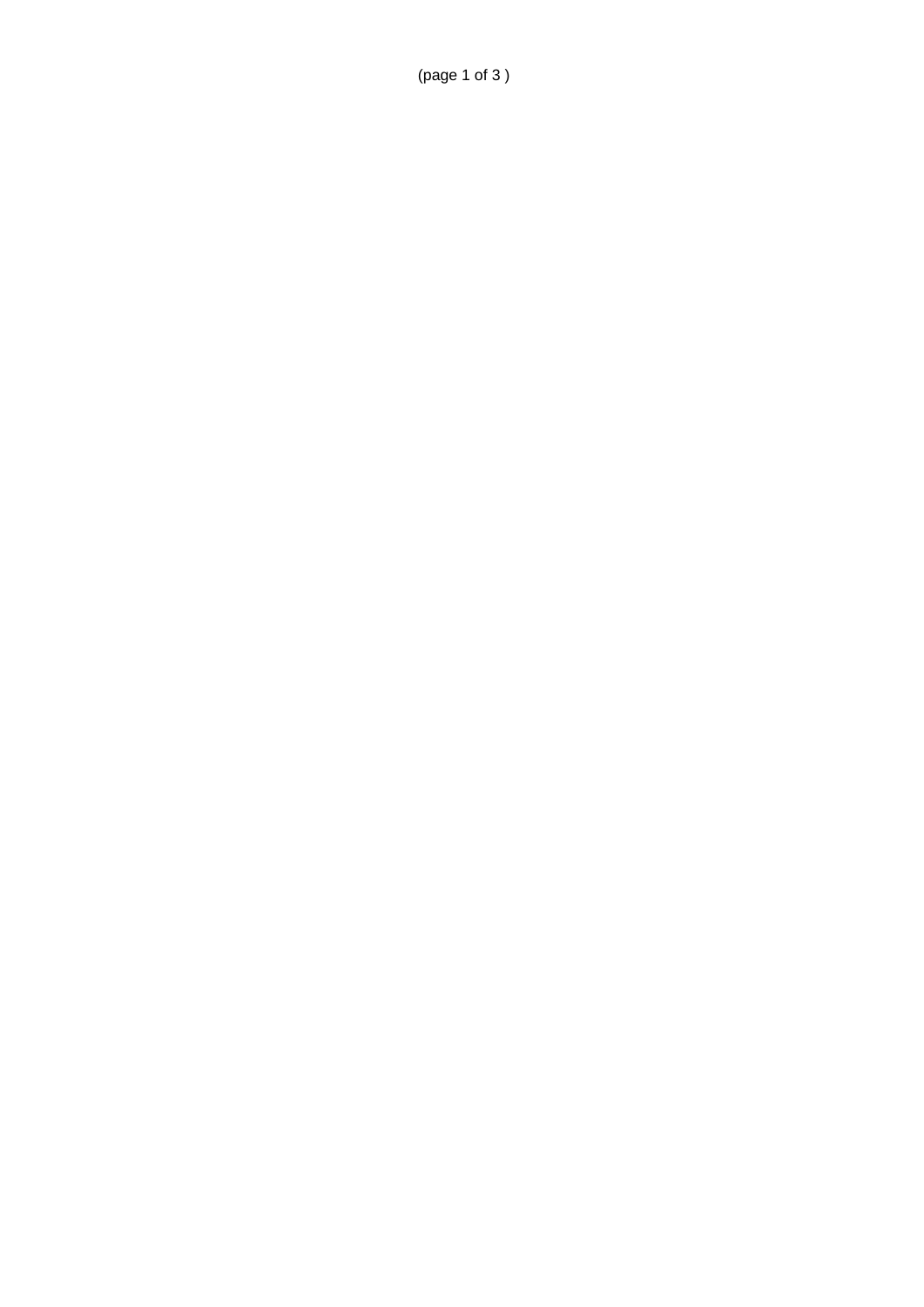(page 1 of 3 )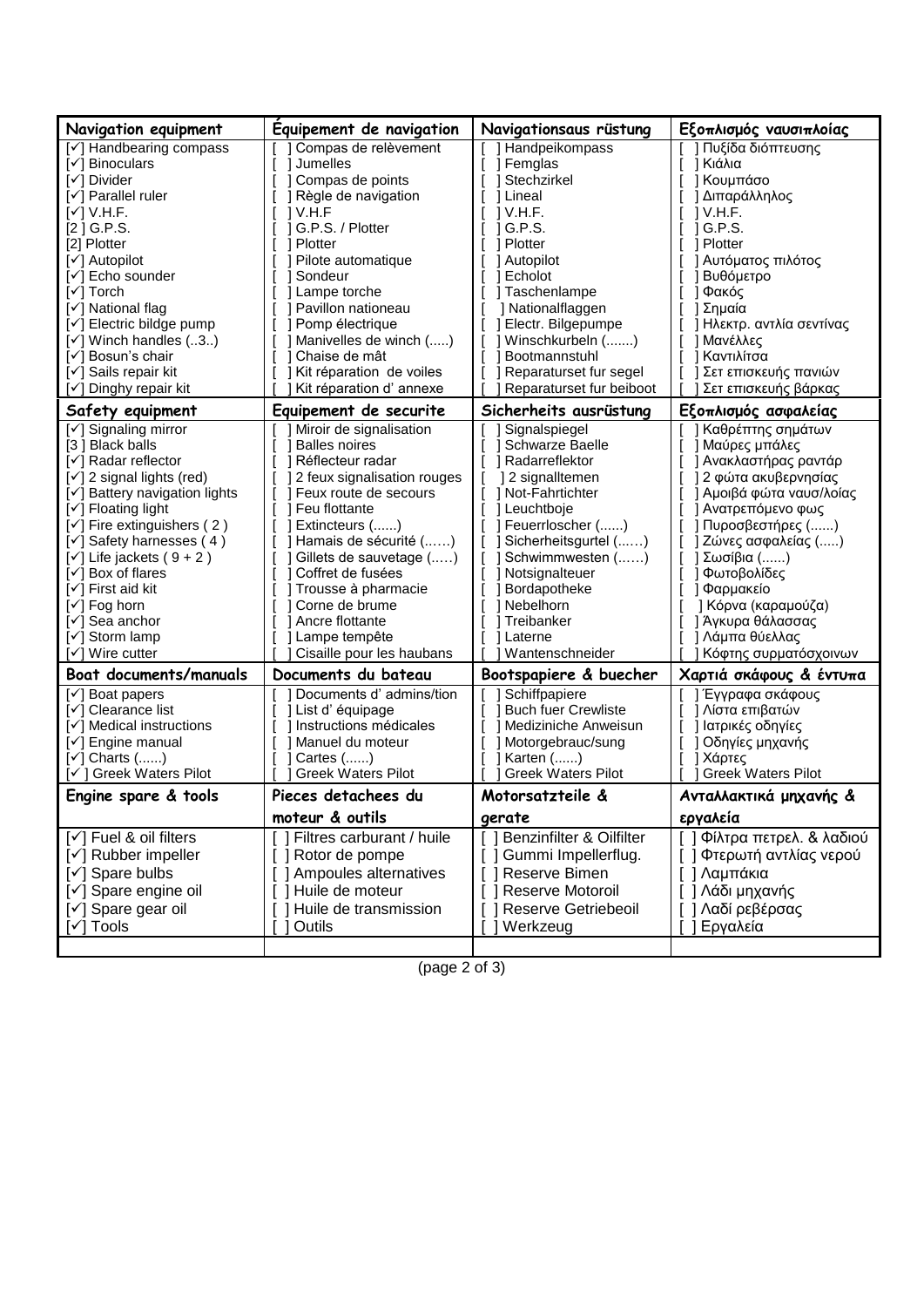| Navigation equipment                     | Equipement de navigation    | Navigationsaus rüstung     | Εξοπλισμός ναυσιπλοίας    |
|------------------------------------------|-----------------------------|----------------------------|---------------------------|
| [√] Handbearing compass                  | Compas de relèvement        | Handpeikompass             | ] Πυξίδα διόπτευσης       |
| $\lceil \checkmark \rceil$ Binoculars    | Jumelles                    | Femglas                    | ] Κιάλια                  |
| [√] Divider                              | Compas de points            | Stechzirkel                | ] Κουμπάσο                |
| $[\checkmark]$ Parallel ruler            | Règle de navigation         | Lineal                     | ] Διπαράλληλος            |
| $[\checkmark]$ V.H.F.                    | 1V.H.F                      | V.H.F.                     | 1V.H.F.                   |
| $[2]$ G.P.S.                             | G.P.S. / Plotter            | G.P.S.                     | G.P.S.                    |
| [2] Plotter                              | Plotter                     | Plotter                    | Plotter                   |
| $\lceil \checkmark \rceil$ Autopilot     | Pilote automatique          | Autopilot                  | Αυτόματος πιλότος         |
| [√] Echo sounder                         | Sondeur                     | Echolot                    | Βυθόμετρο                 |
| $\lceil \checkmark \rceil$ Torch         | Lampe torche                | Taschenlampe               | Φακός                     |
| [√] National flag                        | Pavillon nationeau          | Nationalflaggen            | Σημαία                    |
| [√] Electric bildge pump                 | Pomp électrique             | Electr. Bilgepumpe         | Ηλεκτρ. αντλία σεντίνας   |
| $[\checkmark]$ Winch handles $(.3.)$     | ] Manivelles de winch ()    | Winschkurbeln ()           | ] Μανέλλες                |
| [√] Bosun's chair                        | ] Chaise de mât             | Bootmannstuhl              | ] Καντιλίτσα              |
| [√] Sails repair kit                     | Kit réparation de voiles    | Reparaturset fur segel     | Σετ επισκευής πανιών      |
| [√] Dinghy repair kit                    | Kit réparation d'annexe     | Reparaturset fur beiboot   | Σετ επισκευής βάρκας      |
| Safety equipment                         | Equipement de securite      | Sicherheits ausrüstung     | Εξοπλισμός ασφαλείας      |
| [√] Signaling mirror                     | Miroir de signalisation     | Signalspiegel              | Καθρέπτης σημάτων         |
| [3] Black balls                          | <b>Balles noires</b>        | <b>Schwarze Baelle</b>     | ] Μαύρες μπάλες           |
| [√] Radar reflector                      | Réflecteur radar            | Radarreflektor             | ] Ανακλαστήρας ραντάρ     |
| $[\checkmark]$ 2 signal lights (red)     | 2 feux signalisation rouges | 2 signalltemen             | 2 φώτα ακυβερνησίας       |
| [√] Battery navigation lights            | Feux route de secours       | Not-Fahrtichter            | ] Αμοιβά φώτα ναυσ/λοίας  |
| [√] Floating light                       | Feu flottante               | Leuchtboje                 | ] Ανατρεπόμενο φως        |
| [v] Fire extinguishers (2)               | Extincteurs ()              | Feuerrloscher ()           | ] Πυροσβεστήρες ()        |
| $[\checkmark]$ Safety harnesses (4)      | [ Hamais de sécurité ()     | Sicherheitsgurtel ()       | ] Ζώνες ασφαλείας ()      |
| [ $\checkmark$ ] Life jackets (9 + 2)    | Gillets de sauvetage ()     | Schwimmwesten ()           | Σωσίβια ()                |
| $\lceil \checkmark \rceil$ Box of flares | Coffret de fusées           | Notsignalteuer             | Φωτοβολίδες               |
| [√] First aid kit                        | ] Trousse à pharmacie       | Bordapotheke               | Φαρμακείο                 |
| $[\checkmark]$ Fog horn                  | Corne de brume              | Nebelhorn                  | Κόρνα (καραμούζα)         |
| $\lceil \checkmark \rceil$ Sea anchor    | Ancre flottante             | Treibanker                 | ] Άγκυρα θάλασσας         |
| $\lceil \checkmark \rceil$ Storm lamp    | ] Lampe tempête             | Laterne                    | ] Λάμπα θύελλας           |
| $\lceil \checkmark \rceil$ Wire cutter   | Cisaille pour les haubans   | Wantenschneider            | Κόφτης συρματόσχοινων     |
| Boat documents/manuals                   | Documents du bateau         | Bootspapiere & buecher     | Χαρτιά σκάφους & έντυπα   |
| $[\checkmark]$ Boat papers               | Documents d' admins/tion    | Schiffpapiere              | ] Έγγραφα σκάφους         |
| [√] Clearance list                       | ] List d'équipage           | <b>Buch fuer Crewliste</b> | Λίστα επιβατών            |
| [√] Medical instructions                 | Instructions médicales      | Mediziniche Anweisun       | ] Ιατρικές οδηγίες        |
| $[\checkmark]$ Engine manual             | ] Manuel du moteur          | Motorgebrauc/sung          | Οδηγίες μηχανής           |
| $[\checkmark]$ Charts $(\dots)$          | ] Cartes ()                 | Karten ()                  | ] Χάρτες                  |
| [√] Greek Waters Pilot                   | <b>Greek Waters Pilot</b>   | <b>Greek Waters Pilot</b>  | Greek Waters Pilot        |
| Engine spare & tools                     | Pieces detachees du         | Motorsatzteile &           | Ανταλλακτικά μηχανής &    |
|                                          | moteur & outils             | gerate                     | εργαλεία                  |
| [√] Fuel & oil filters                   | Filtres carburant / huile   | ] Benzinfilter & Oilfilter | ] Φίλτρα πετρελ. & λαδιού |
| $[\checkmark]$ Rubber impeller           | ] Rotor de pompe            | ] Gummi Impellerflug.      | [] Φτερωτή αντλίας νερού  |
| $[\checkmark]$ Spare bulbs               | ] Ampoules alternatives     | ] Reserve Bimen            | ] Λαμπάκια                |
| [√] Spare engine oil                     | ] Huile de moteur           | ] Reserve Motoroil         | [ ]Λάδι μηχανής           |
| [√] Spare gear oil                       | ] Huile de transmission     | ] Reserve Getriebeoil      | [ ] Λαδί ρεβέρσας         |
| [√] Tools                                | Outils                      | Werkzeug                   | Εργαλεία                  |

(page 2 of 3)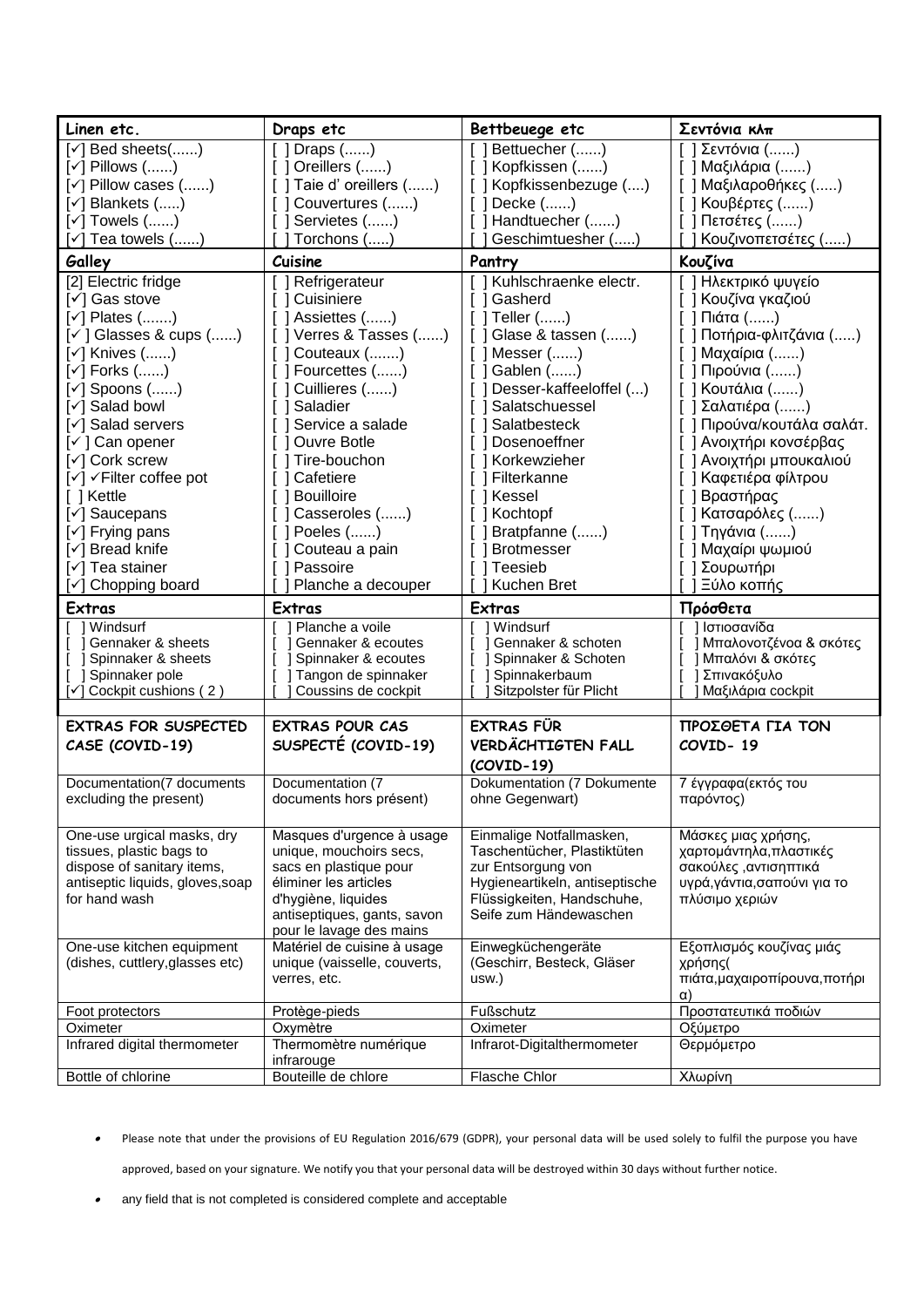| Linen etc.                                                                                                                                                                                                                                                                                                                                                                                                                                                                                                                                                             | Draps etc                                                                                                                                                                                                                                                                                                                                                                                            | Bettbeuege etc                                                                                                                                                                                                                                                                                                                                                                                        | Σεντόνια κλπ                                                                                                                                                                                                                                                                                                                                                                                                       |
|------------------------------------------------------------------------------------------------------------------------------------------------------------------------------------------------------------------------------------------------------------------------------------------------------------------------------------------------------------------------------------------------------------------------------------------------------------------------------------------------------------------------------------------------------------------------|------------------------------------------------------------------------------------------------------------------------------------------------------------------------------------------------------------------------------------------------------------------------------------------------------------------------------------------------------------------------------------------------------|-------------------------------------------------------------------------------------------------------------------------------------------------------------------------------------------------------------------------------------------------------------------------------------------------------------------------------------------------------------------------------------------------------|--------------------------------------------------------------------------------------------------------------------------------------------------------------------------------------------------------------------------------------------------------------------------------------------------------------------------------------------------------------------------------------------------------------------|
| $[\checkmark]$ Bed sheets()<br>$[\checkmark]$ Pillows $(\dots)$<br>$[\checkmark]$ Pillow cases $(\dots)$<br>$[\checkmark]$ Blankets $(\dots)$<br>$[\checkmark]$ Towels $(\dots)$<br>$[\checkmark]$ Tea towels $(\dots)$                                                                                                                                                                                                                                                                                                                                                | $[ ]$ Draps $()$<br>[ ] Oreillers ()<br>[ ] Taie d' oreillers ()<br>[] Couvertures ()<br>[] Servietes ()<br>Torchons ()                                                                                                                                                                                                                                                                              | [] Bettuecher ()<br>[ ] Kopfkissen ()<br>[] Kopfkissenbezuge ()<br>$\lceil$ ] Decke $(\dots)$<br>[ ] Handtuecher ()<br>Geschimtuesher ()                                                                                                                                                                                                                                                              | [ ] Σεντόνια ()<br>[ ] Μαξιλάρια ()<br>[] Μαξιλαροθήκες ()<br>[] Κουβέρτες ()<br>$[ ]$ Πετσέτες ()<br>Κουζινοπετσέτες ()                                                                                                                                                                                                                                                                                           |
| Galley                                                                                                                                                                                                                                                                                                                                                                                                                                                                                                                                                                 | Cuisine                                                                                                                                                                                                                                                                                                                                                                                              | Pantry                                                                                                                                                                                                                                                                                                                                                                                                | Κουζίνα                                                                                                                                                                                                                                                                                                                                                                                                            |
| [2] Electric fridge<br>$\lceil \checkmark \rceil$ Gas stove<br>$[\checkmark]$ Plates $(\dots \dots)$<br>$[\checkmark]$ Glasses & cups $(\dots)$<br>$[\checkmark]$ Knives $(\dots)$<br>$[\checkmark]$ Forks $(\dots)$<br>$[\checkmark]$ Spoons $(\dots)$<br>[√] Salad bowl<br>[√] Salad servers<br>$[\checkmark]$ Can opener<br>[√] Cork screw<br>$\lceil \checkmark \rceil$ $\checkmark$ Filter coffee pot<br>[ ] Kettle<br>$[\checkmark]$ Saucepans<br>$[\checkmark]$ Frying pans<br>[√] Bread knife<br>[√] Tea stainer<br>[v] Chopping board<br>Extras<br>] Windsurf | [ ] Refrigerateur<br>[ ] Cuisiniere<br>[ ] Assiettes ()<br>[] Verres & Tasses ()<br>$[$ ] Couteaux $($ )<br>[ ] Fourcettes ()<br>[ ] Cuillieres ()<br>[ ] Saladier<br>[ ] Service a salade<br>[ ] Ouvre Botle<br>[ ] Tire-bouchon<br>[ ] Cafetiere<br>[ ] Bouilloire<br>[ ] Casseroles ()<br>[ ] Poeles ()<br>[] Couteau a pain<br>[ ] Passoire<br>Planche a decouper<br>Extras<br>] Planche a voile | [ ] Kuhlschraenke electr.<br>[ ] Gasherd<br>$\lceil$ ] Teller $(\dots)$<br>[ ] Glase & tassen ()<br>$[ ]$ Messer $()$<br>$[$ ] Gablen $()$<br>[] Desser-kaffeeloffel ()<br>[ ] Salatschuessel<br>[ ] Salatbesteck<br>[] Dosenoeffner<br>[ ] Korkewzieher<br>[ ] Filterkanne<br>[ ] Kessel<br>[ ] Kochtopf<br>[ ] Bratpfanne ()<br>[] Brotmesser<br>[ ] Teesieb<br>Kuchen Bret<br>Extras<br>] Windsurf | [] Ηλεκτρικό ψυγείο<br>[] Κουζίνα γκαζιού<br>[] Πιάτα $()$<br>[] Ποτήρια-φλιτζάνια ()<br>[ ] Μαχαίρια ()<br>[] Πιρούνια $()$<br>[ ] Κουτάλια ()<br>[] Σαλατιέρα ()<br>[] Πιρούνα/κουτάλα σαλάτ.<br>[] Ανοιχτήρι κονσέρβας<br>[] Ανοιχτήρι μπουκαλιού<br>[] Καφετιέρα φίλτρου<br>[] Βραστήρας<br>[] Κατσαρόλες ()<br>[ ] Τηγάνια ()<br>[] Μαχαίρι ψωμιού<br>[] Σουρωτήρι<br>Ξύλο κοπής<br>Πρόσθετα<br>] Ιστιοσανίδα |
| ] Gennaker & sheets<br>Spinnaker & sheets<br>[ ] Spinnaker pole<br>Cockpit cushions (2)                                                                                                                                                                                                                                                                                                                                                                                                                                                                                | [ ] Gennaker & ecoutes<br>Spinnaker & ecoutes<br>[ ] Tangon de spinnaker<br>Coussins de cockpit                                                                                                                                                                                                                                                                                                      | [ ] Gennaker & schoten<br>] Spinnaker & Schoten<br>] Spinnakerbaum<br>Sitzpolster für Plicht                                                                                                                                                                                                                                                                                                          | ] Μπαλονοτζένοα & σκότες<br>] Μπαλόνι & σκότες<br>] Σπινακόξυλο<br>Μαξιλάρια cockpit                                                                                                                                                                                                                                                                                                                               |
|                                                                                                                                                                                                                                                                                                                                                                                                                                                                                                                                                                        |                                                                                                                                                                                                                                                                                                                                                                                                      |                                                                                                                                                                                                                                                                                                                                                                                                       |                                                                                                                                                                                                                                                                                                                                                                                                                    |
| <b>EXTRAS FOR SUSPECTED</b><br>CASE (COVID-19)                                                                                                                                                                                                                                                                                                                                                                                                                                                                                                                         | <b>EXTRAS POUR CAS</b><br>SUSPECTÉ (COVID-19)                                                                                                                                                                                                                                                                                                                                                        | <b>EXTRAS FÜR</b><br><b>VERDÄCHTIGTEN FALL</b><br>$(COVID-19)$                                                                                                                                                                                                                                                                                                                                        | ΠΡΟΣΘΕΤΑ ΓΙΑ ΤΟΝ<br>COVID-19                                                                                                                                                                                                                                                                                                                                                                                       |
| Documentation(7 documents<br>excluding the present)                                                                                                                                                                                                                                                                                                                                                                                                                                                                                                                    | Documentation (7<br>documents hors présent)                                                                                                                                                                                                                                                                                                                                                          | Dokumentation (7 Dokumente<br>ohne Gegenwart)                                                                                                                                                                                                                                                                                                                                                         | 7 έγγραφα (εκτός του<br>παρόντος)                                                                                                                                                                                                                                                                                                                                                                                  |
| One-use urgical masks, dry<br>tissues, plastic bags to<br>dispose of sanitary items,<br>antiseptic liquids, gloves, soap<br>for hand wash                                                                                                                                                                                                                                                                                                                                                                                                                              | Masques d'urgence à usage<br>unique, mouchoirs secs,<br>sacs en plastique pour<br>éliminer les articles<br>d'hygiène, liquides<br>antiseptiques, gants, savon<br>pour le lavage des mains                                                                                                                                                                                                            | Einmalige Notfallmasken,<br>Taschentücher, Plastiktüten<br>zur Entsorgung von<br>Hygieneartikeln, antiseptische<br>Flüssigkeiten, Handschuhe,<br>Seife zum Händewaschen                                                                                                                                                                                                                               | Μάσκες μιας χρήσης,<br>χαρτομάντηλα, πλαστικές<br>σακούλες, αντισηπτικά<br>υγρά, γάντια, σαπούνι για το<br>πλύσιμο χεριών                                                                                                                                                                                                                                                                                          |
| One-use kitchen equipment<br>(dishes, cuttlery, glasses etc)                                                                                                                                                                                                                                                                                                                                                                                                                                                                                                           | Matériel de cuisine à usage<br>unique (vaisselle, couverts,<br>verres, etc.                                                                                                                                                                                                                                                                                                                          | Einwegküchengeräte<br>(Geschirr, Besteck, Gläser<br>usw.)                                                                                                                                                                                                                                                                                                                                             | Εξοπλισμός κουζίνας μιάς<br>χρήσης(<br>πιάτα, μαχαιροπίρουνα, ποτήρι<br>α)                                                                                                                                                                                                                                                                                                                                         |
| Foot protectors                                                                                                                                                                                                                                                                                                                                                                                                                                                                                                                                                        | Protège-pieds                                                                                                                                                                                                                                                                                                                                                                                        | Fußschutz                                                                                                                                                                                                                                                                                                                                                                                             | Προστατευτικά ποδιών                                                                                                                                                                                                                                                                                                                                                                                               |
| Oximeter<br>Infrared digital thermometer                                                                                                                                                                                                                                                                                                                                                                                                                                                                                                                               | Oxymètre<br>Thermomètre numérique                                                                                                                                                                                                                                                                                                                                                                    | Oximeter<br>Infrarot-Digitalthermometer                                                                                                                                                                                                                                                                                                                                                               | Οξύμετρο<br>Θερμόμετρο                                                                                                                                                                                                                                                                                                                                                                                             |
| Bottle of chlorine                                                                                                                                                                                                                                                                                                                                                                                                                                                                                                                                                     | infrarouge<br>Bouteille de chlore                                                                                                                                                                                                                                                                                                                                                                    | Flasche Chlor                                                                                                                                                                                                                                                                                                                                                                                         | Χλωρίνη                                                                                                                                                                                                                                                                                                                                                                                                            |

 $\bullet$  Please note that under the provisions of EU Regulation 2016/679 (GDPR), your personal data will be used solely to fulfil the purpose you have approved, based on your signature. We notify you that your personal data will be destroyed within 30 days without further notice.

 $\bullet$ any field that is not completed is considered complete and acceptable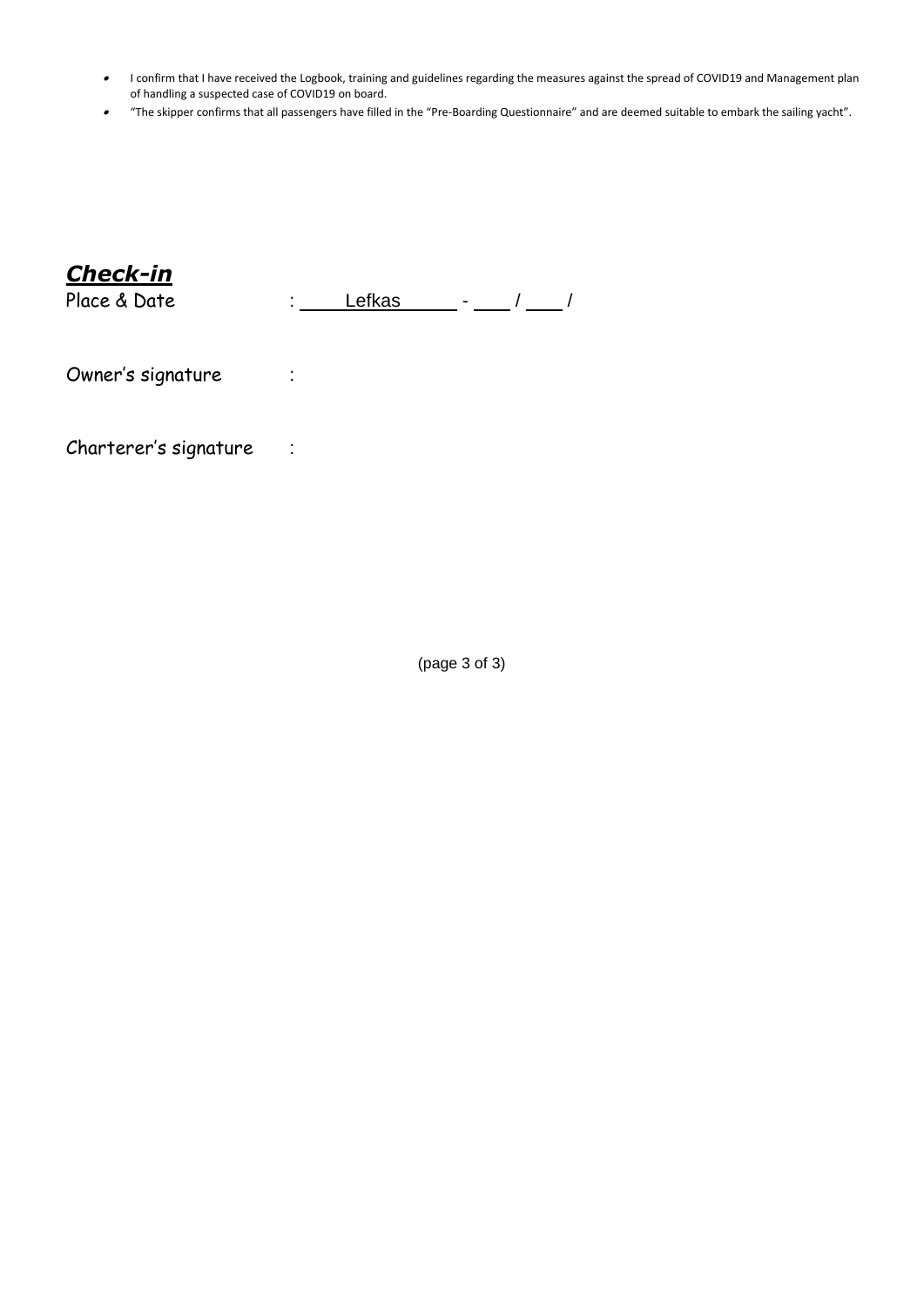- $\cdot$  I confirm that I have received the Logbook, training and guidelines regarding the measures against the spread of COVID19 and Management plan of handling a suspected case of COVID19 on board.
- . "The skipper confirms that all passengers have filled in the "Pre-Boarding Questionnaire" and are deemed suitable to embark the sailing yacht".

## *Check-in* : <u>\_\_\_\_\_ Lefkas \_\_\_\_</u> - <sub>\_\_\_\_\_</sub> / \_\_\_\_ / Owner's signature :

Charterer's signature :

(page 3 of 3)